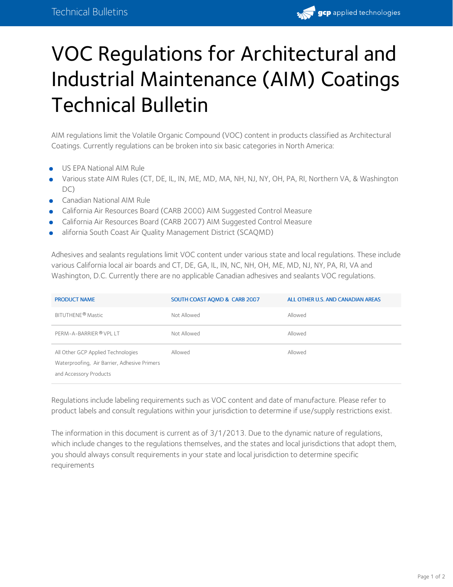

## VOC Regulations for Architectural and Industrial Maintenance (AIM) Coatings Technical Bulletin

AIM regulations limit the Volatile Organic Compound (VOC) content in products classified as Architectural Coatings. Currently regulations can be broken into six basic categories in North America:

- US EPA National AIM Rule
- Various state AIM Rules (CT, DE, IL, IN, ME, MD, MA, NH, NJ, NY, OH, PA, RI, Northern VA, & Washington DC)
- Canadian National AIM Rule
- California Air Resources Board (CARB 2000) AIM Suggested Control Measure
- California Air Resources Board (CARB 2007) AIM Suggested Control Measure
- alifornia South Coast Air Quality Management District (SCAQMD)

Adhesives and sealants regulations limit VOC content under various state and local regulations. These include various California local air boards and CT, DE, GA, IL, IN, NC, NH, OH, ME, MD, NJ, NY, PA, RI, VA and Washington, D.C. Currently there are no applicable Canadian adhesives and sealants VOC regulations.

| <b>PRODUCT NAME</b>                                                                                          | SOUTH COAST AOMD & CARB 2007 | ALL OTHER U.S. AND CANADIAN AREAS |
|--------------------------------------------------------------------------------------------------------------|------------------------------|-----------------------------------|
| BITUTHENE <sup>®</sup> Mastic                                                                                | Not Allowed                  | Allowed                           |
| PERM-A-BARRIER ® VPL LT                                                                                      | Not Allowed                  | Allowed                           |
| All Other GCP Applied Technologies<br>Waterproofing, Air Barrier, Adhesive Primers<br>and Accessory Products | Allowed                      | Allowed                           |

Regulations include labeling requirements such as VOC content and date of manufacture. Please refer to product labels and consult regulations within your jurisdiction to determine if use/supply restrictions exist.

The information in this document is current as of 3/1/2013. Due to the dynamic nature of regulations, which include changes to the regulations themselves, and the states and local jurisdictions that adopt them, you should always consult requirements in your state and local jurisdiction to determine specific requirements